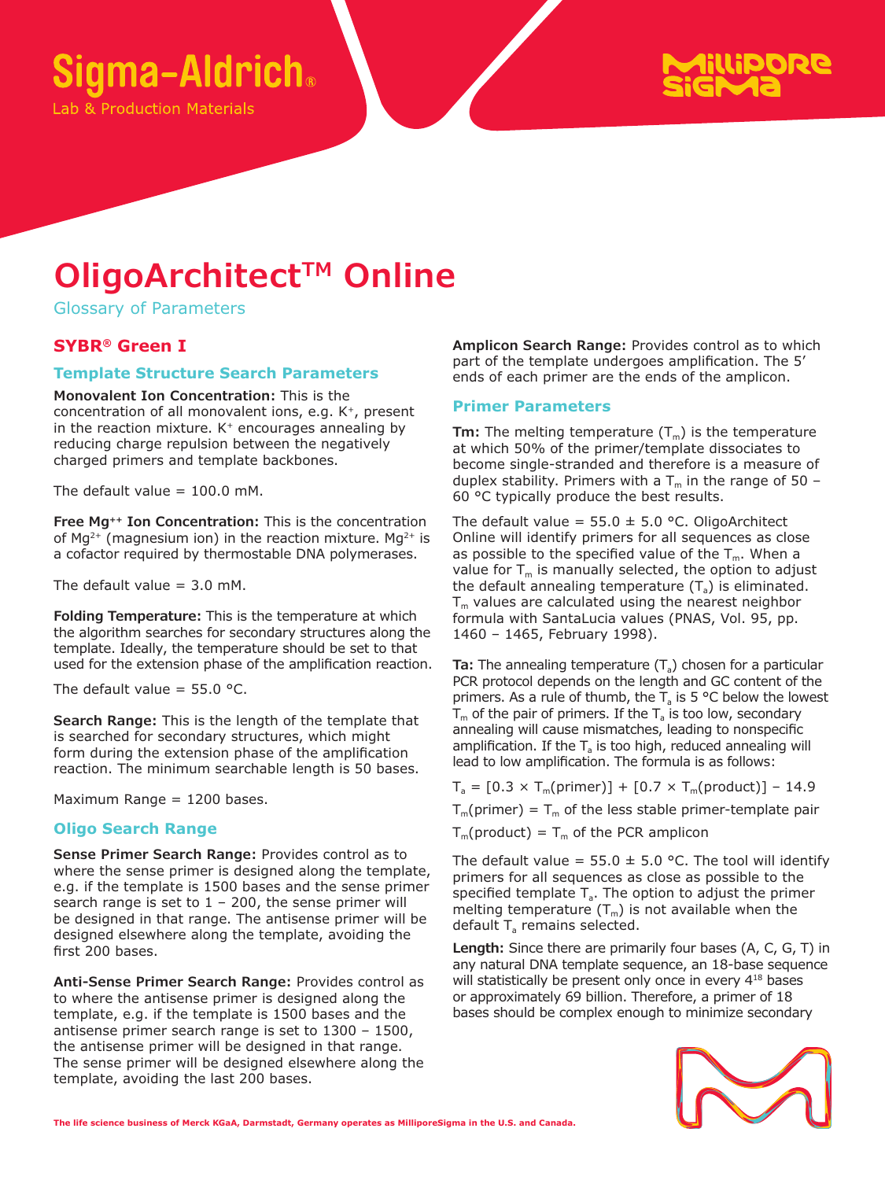

**b & Production Materials** 



# **OligoArchitect™ Online**

Glossary of Parameters

# **SYBR® Green I**

# **Template Structure Search Parameters**

**Monovalent Ion Concentration:** This is the concentration of all monovalent ions, e.g. K+, present in the reaction mixture.  $K^+$  encourages annealing by reducing charge repulsion between the negatively charged primers and template backbones.

The default value  $= 100.0$  mM.

**Free Mg++ Ion Concentration:** This is the concentration of  $Mq^{2+}$  (magnesium ion) in the reaction mixture. Mg<sup>2+</sup> is a cofactor required by thermostable DNA polymerases.

The default value  $= 3.0$  mM.

**Folding Temperature:** This is the temperature at which the algorithm searches for secondary structures along the template. Ideally, the temperature should be set to that used for the extension phase of the amplification reaction.

The default value =  $55.0$  °C.

**Search Range:** This is the length of the template that is searched for secondary structures, which might form during the extension phase of the amplification reaction. The minimum searchable length is 50 bases.

Maximum Range = 1200 bases.

#### **Oligo Search Range**

**Sense Primer Search Range:** Provides control as to where the sense primer is designed along the template, e.g. if the template is 1500 bases and the sense primer search range is set to  $1 - 200$ , the sense primer will be designed in that range. The antisense primer will be designed elsewhere along the template, avoiding the first 200 bases.

**Anti-Sense Primer Search Range:** Provides control as to where the antisense primer is designed along the template, e.g. if the template is 1500 bases and the antisense primer search range is set to 1300 – 1500, the antisense primer will be designed in that range. The sense primer will be designed elsewhere along the template, avoiding the last 200 bases.

**Amplicon Search Range:** Provides control as to which part of the template undergoes amplification. The 5' ends of each primer are the ends of the amplicon.

#### **Primer Parameters**

**Tm:** The melting temperature  $(T_m)$  is the temperature at which 50% of the primer/template dissociates to become single-stranded and therefore is a measure of duplex stability. Primers with a  $T_m$  in the range of 50 – 60 °C typically produce the best results.

The default value =  $55.0 \pm 5.0$  °C. OligoArchitect Online will identify primers for all sequences as close as possible to the specified value of the  $T_m$ . When a value for  $T_m$  is manually selected, the option to adjust the default annealing temperature  $(T_a)$  is eliminated.  $T_m$  values are calculated using the nearest neighbor formula with SantaLucia values (PNAS, Vol. 95, pp. 1460 – 1465, February 1998).

**Ta:** The annealing temperature (T<sub>a</sub>) chosen for a particular PCR protocol depends on the length and GC content of the primers. As a rule of thumb, the  $T_a$  is 5 °C below the lowest  $T_m$  of the pair of primers. If the  $T_a$  is too low, secondary annealing will cause mismatches, leading to nonspecific amplification. If the  $T_a$  is too high, reduced annealing will lead to low amplification. The formula is as follows:

 $T_a = [0.3 \times T_m(primer)] + [0.7 \times T_m(product)] - 14.9$ 

 $T_m(primer) = T_m$  of the less stable primer-template pair

 $T_m$ (product) =  $T_m$  of the PCR amplicon

The default value =  $55.0 \pm 5.0$  °C. The tool will identify primers for all sequences as close as possible to the specified template  $T_a$ . The option to adjust the primer melting temperature  $(T_m)$  is not available when the default  $T_a$  remains selected.

**Length:** Since there are primarily four bases (A, C, G, T) in any natural DNA template sequence, an 18-base sequence will statistically be present only once in every 4<sup>18</sup> bases or approximately 69 billion. Therefore, a primer of 18 bases should be complex enough to minimize secondary

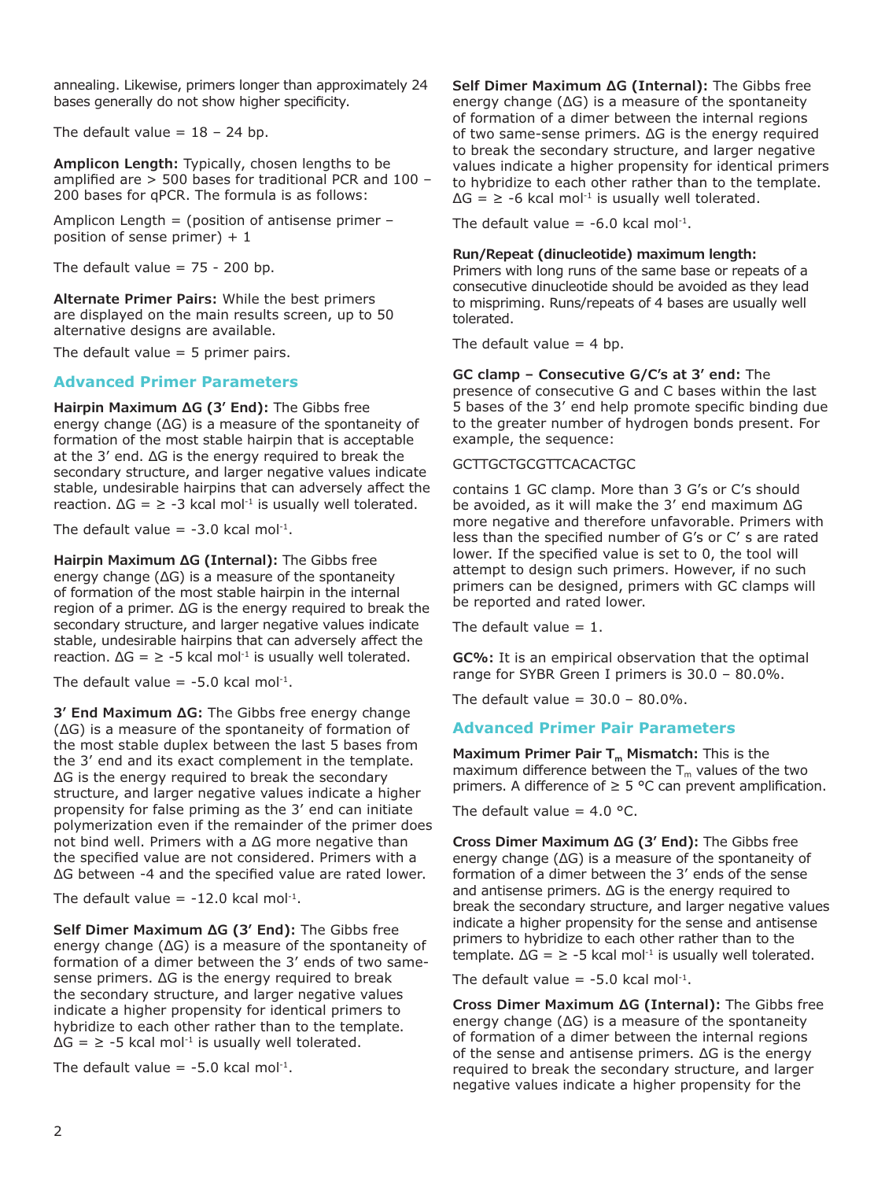annealing. Likewise, primers longer than approximately 24 bases generally do not show higher specificity.

The default value  $= 18 - 24$  bp.

**Amplicon Length:** Typically, chosen lengths to be amplified are > 500 bases for traditional PCR and 100 – 200 bases for qPCR. The formula is as follows:

Amplicon Length = (position of antisense primer – position of sense primer)  $+1$ 

The default value  $= 75 - 200$  bp.

**Alternate Primer Pairs:** While the best primers are displayed on the main results screen, up to 50 alternative designs are available.

The default value  $=$  5 primer pairs.

## **Advanced Primer Parameters**

**Hairpin Maximum ΔG (3' End):** The Gibbs free energy change (ΔG) is a measure of the spontaneity of formation of the most stable hairpin that is acceptable at the 3' end. ΔG is the energy required to break the secondary structure, and larger negative values indicate stable, undesirable hairpins that can adversely affect the reaction.  $\Delta G = \ge -3$  kcal mol<sup>-1</sup> is usually well tolerated.

The default value =  $-3.0$  kcal mol<sup>-1</sup>.

**Hairpin Maximum ΔG (Internal):** The Gibbs free energy change (ΔG) is a measure of the spontaneity of formation of the most stable hairpin in the internal region of a primer. ΔG is the energy required to break the secondary structure, and larger negative values indicate stable, undesirable hairpins that can adversely affect the reaction.  $\Delta G = \ge -5$  kcal mol<sup>-1</sup> is usually well tolerated.

The default value =  $-5.0$  kcal mol<sup>-1</sup>.

**3' End Maximum ΔG:** The Gibbs free energy change (ΔG) is a measure of the spontaneity of formation of the most stable duplex between the last 5 bases from the 3' end and its exact complement in the template. ΔG is the energy required to break the secondary structure, and larger negative values indicate a higher propensity for false priming as the 3' end can initiate polymerization even if the remainder of the primer does not bind well. Primers with a ΔG more negative than the specified value are not considered. Primers with a ΔG between -4 and the specified value are rated lower.

The default value =  $-12.0$  kcal mol<sup>-1</sup>.

**Self Dimer Maximum ΔG (3' End):** The Gibbs free energy change (ΔG) is a measure of the spontaneity of formation of a dimer between the 3' ends of two samesense primers. ΔG is the energy required to break the secondary structure, and larger negative values indicate a higher propensity for identical primers to hybridize to each other rather than to the template.  $\Delta G = \ge -5$  kcal mol<sup>-1</sup> is usually well tolerated.

The default value =  $-5.0$  kcal mol<sup>-1</sup>.

**Self Dimer Maximum ΔG (Internal):** The Gibbs free energy change (ΔG) is a measure of the spontaneity of formation of a dimer between the internal regions of two same-sense primers. ΔG is the energy required to break the secondary structure, and larger negative values indicate a higher propensity for identical primers to hybridize to each other rather than to the template.  $\Delta G = \ge -6$  kcal mol<sup>-1</sup> is usually well tolerated.

The default value =  $-6.0$  kcal mol<sup>-1</sup>.

### **Run/Repeat (dinucleotide) maximum length:**

Primers with long runs of the same base or repeats of a consecutive dinucleotide should be avoided as they lead to mispriming. Runs/repeats of 4 bases are usually well tolerated.

The default value  $=$  4 bp.

#### **GC clamp – Consecutive G/C's at 3' end:** The presence of consecutive G and C bases within the last 5 bases of the 3' end help promote specific binding due to the greater number of hydrogen bonds present. For example, the sequence:

#### GCTTGCTGCGTTCACACTGC

contains 1 GC clamp. More than 3 G's or C's should be avoided, as it will make the 3' end maximum ΔG more negative and therefore unfavorable. Primers with less than the specified number of G's or C' s are rated lower. If the specified value is set to 0, the tool will attempt to design such primers. However, if no such primers can be designed, primers with GC clamps will be reported and rated lower.

The default value  $= 1$ .

**GC%:** It is an empirical observation that the optimal range for SYBR Green I primers is 30.0 – 80.0%.

The default value =  $30.0 - 80.0\%$ .

#### **Advanced Primer Pair Parameters**

Maximum Primer Pair T<sub>m</sub> Mismatch: This is the maximum difference between the  $T_m$  values of the two primers. A difference of  $\geq$  5 °C can prevent amplification.

The default value =  $4.0$  °C.

**Cross Dimer Maximum ΔG (3' End):** The Gibbs free energy change (ΔG) is a measure of the spontaneity of formation of a dimer between the 3' ends of the sense and antisense primers. ΔG is the energy required to break the secondary structure, and larger negative values indicate a higher propensity for the sense and antisense primers to hybridize to each other rather than to the template.  $\Delta G = \ge -5$  kcal mol<sup>-1</sup> is usually well tolerated.

The default value =  $-5.0$  kcal mol<sup>-1</sup>.

**Cross Dimer Maximum ΔG (Internal):** The Gibbs free energy change  $( \Delta G)$  is a measure of the spontaneity of formation of a dimer between the internal regions of the sense and antisense primers. ΔG is the energy required to break the secondary structure, and larger negative values indicate a higher propensity for the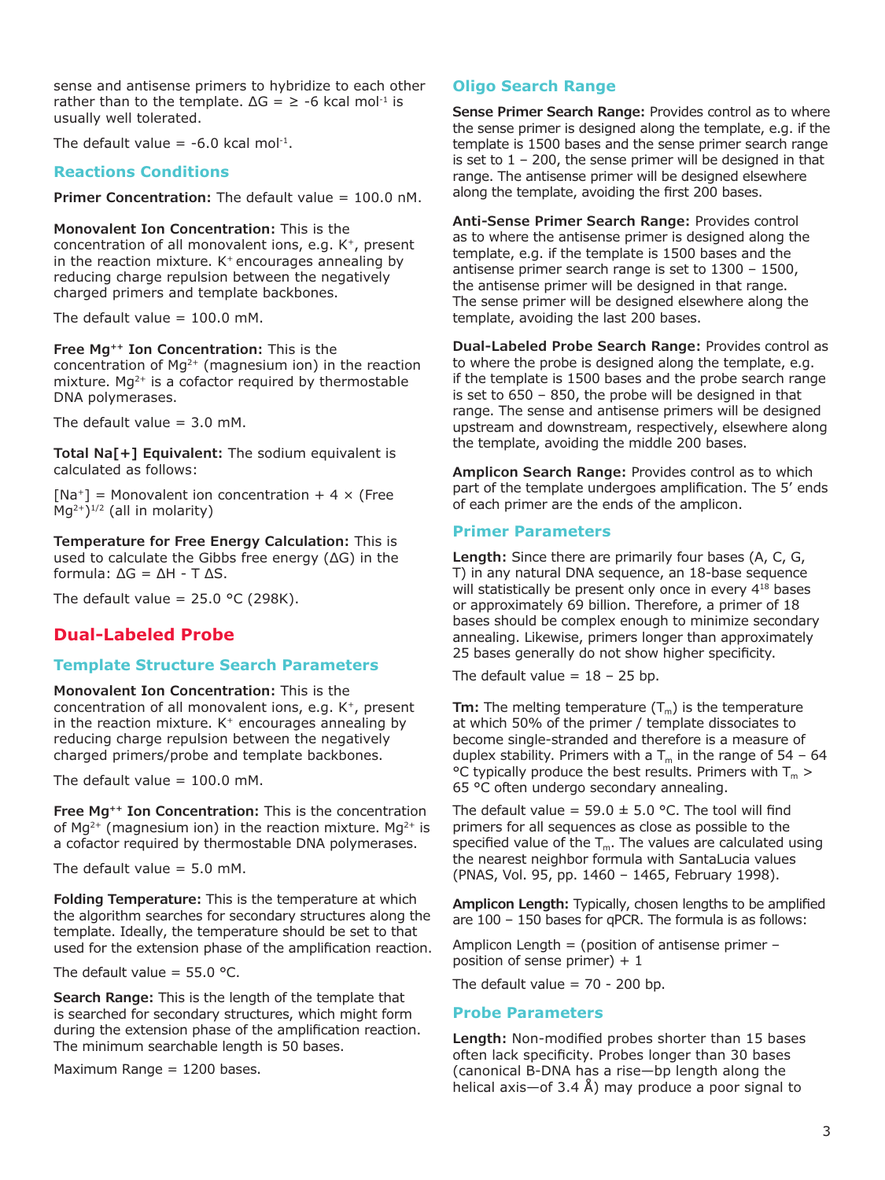sense and antisense primers to hybridize to each other rather than to the template.  $\Delta G = \ge -6$  kcal mol<sup>-1</sup> is usually well tolerated.

The default value =  $-6.0$  kcal mol<sup>-1</sup>.

## **Reactions Conditions**

**Primer Concentration:** The default value = 100.0 nM.

**Monovalent Ion Concentration:** This is the concentration of all monovalent ions, e.g. K<sup>+</sup>, present in the reaction mixture.  $K^+$  encourages annealing by reducing charge repulsion between the negatively charged primers and template backbones.

The default value =  $100.0$  mM.

**Free Mg++ Ion Concentration:** This is the concentration of  $Mq^{2+}$  (magnesium ion) in the reaction mixture. Mg<sup>2+</sup> is a cofactor required by thermostable DNA polymerases.

The default value  $= 3.0$  mM.

**Total Na[+] Equivalent:** The sodium equivalent is calculated as follows:

 $[Na^+]$  = Monovalent ion concentration + 4  $\times$  (Free  $Mq^{2+1/2}$  (all in molarity)

**Temperature for Free Energy Calculation:** This is used to calculate the Gibbs free energy (ΔG) in the formula: ΔG = ΔH - T ΔS.

The default value =  $25.0$  °C (298K).

# **Dual-Labeled Probe**

### **Template Structure Search Parameters**

**Monovalent Ion Concentration:** This is the concentration of all monovalent ions, e.g. K+, present in the reaction mixture.  $K^+$  encourages annealing by reducing charge repulsion between the negatively charged primers/probe and template backbones.

The default value =  $100.0$  mM.

**Free Mg++ Ion Concentration:** This is the concentration of Mg<sup>2+</sup> (magnesium ion) in the reaction mixture. Mg<sup>2+</sup> is a cofactor required by thermostable DNA polymerases.

The default value  $= 5.0$  mM.

**Folding Temperature:** This is the temperature at which the algorithm searches for secondary structures along the template. Ideally, the temperature should be set to that used for the extension phase of the amplification reaction.

The default value =  $55.0$  °C.

**Search Range:** This is the length of the template that is searched for secondary structures, which might form during the extension phase of the amplification reaction. The minimum searchable length is 50 bases.

Maximum Range = 1200 bases.

# **Oligo Search Range**

**Sense Primer Search Range:** Provides control as to where the sense primer is designed along the template, e.g. if the template is 1500 bases and the sense primer search range is set to  $1 - 200$ , the sense primer will be designed in that range. The antisense primer will be designed elsewhere along the template, avoiding the first 200 bases.

**Anti-Sense Primer Search Range:** Provides control as to where the antisense primer is designed along the template, e.g. if the template is 1500 bases and the antisense primer search range is set to 1300 – 1500, the antisense primer will be designed in that range. The sense primer will be designed elsewhere along the template, avoiding the last 200 bases.

**Dual-Labeled Probe Search Range:** Provides control as to where the probe is designed along the template, e.g. if the template is 1500 bases and the probe search range is set to 650 – 850, the probe will be designed in that range. The sense and antisense primers will be designed upstream and downstream, respectively, elsewhere along the template, avoiding the middle 200 bases.

**Amplicon Search Range:** Provides control as to which part of the template undergoes amplification. The 5' ends of each primer are the ends of the amplicon.

#### **Primer Parameters**

**Length:** Since there are primarily four bases (A, C, G, T) in any natural DNA sequence, an 18-base sequence will statistically be present only once in every 4<sup>18</sup> bases or approximately 69 billion. Therefore, a primer of 18 bases should be complex enough to minimize secondary annealing. Likewise, primers longer than approximately 25 bases generally do not show higher specificity.

The default value  $= 18 - 25$  bp.

**Tm:** The melting temperature  $(T_m)$  is the temperature at which 50% of the primer / template dissociates to become single-stranded and therefore is a measure of duplex stability. Primers with a  $T_m$  in the range of 54 – 64 °C typically produce the best results. Primers with  $T_m$  > 65 °C often undergo secondary annealing.

The default value =  $59.0 \pm 5.0$  °C. The tool will find primers for all sequences as close as possible to the specified value of the  $T_m$ . The values are calculated using the nearest neighbor formula with SantaLucia values (PNAS, Vol. 95, pp. 1460 – 1465, February 1998).

**Amplicon Length:** Typically, chosen lengths to be amplified are 100 – 150 bases for qPCR. The formula is as follows:

Amplicon Length = (position of antisense primer  $$ position of sense primer)  $+1$ 

The default value  $= 70 - 200$  bp.

#### **Probe Parameters**

**Length:** Non-modified probes shorter than 15 bases often lack specificity. Probes longer than 30 bases (canonical B-DNA has a rise—bp length along the helical axis—of 3.4 Å) may produce a poor signal to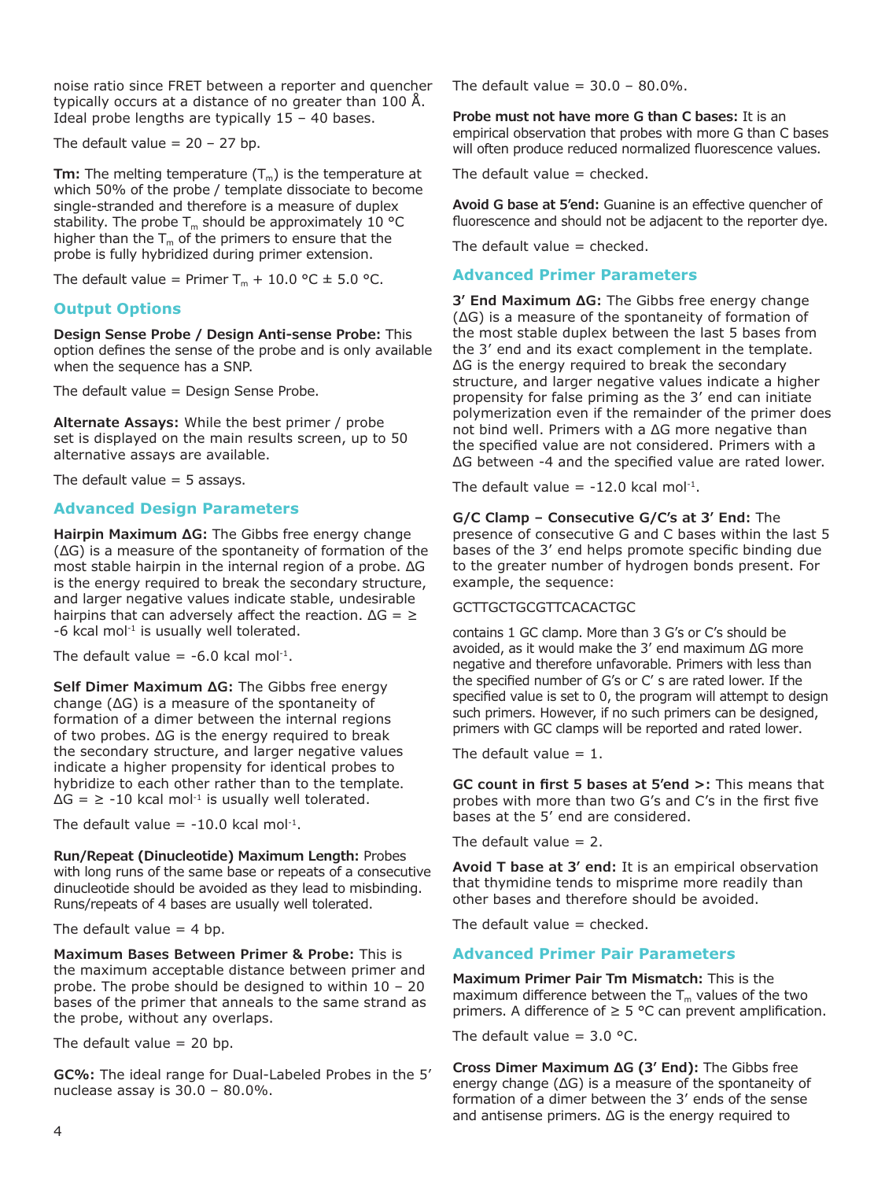noise ratio since FRET between a reporter and quencher typically occurs at a distance of no greater than 100 Å. Ideal probe lengths are typically  $15 - 40$  bases.

The default value  $= 20 - 27$  bp.

**Tm:** The melting temperature  $(T_m)$  is the temperature at which 50% of the probe / template dissociate to become single-stranded and therefore is a measure of duplex stability. The probe  $T_m$  should be approximately 10 °C higher than the  $T_m$  of the primers to ensure that the probe is fully hybridized during primer extension.

The default value = Primer  $T_m + 10.0$  °C  $\pm$  5.0 °C.

# **Output Options**

**Design Sense Probe / Design Anti-sense Probe:** This option defines the sense of the probe and is only available when the sequence has a SNP.

The default value = Design Sense Probe.

**Alternate Assays:** While the best primer / probe set is displayed on the main results screen, up to 50 alternative assays are available.

The default value  $=$  5 assays.

# **Advanced Design Parameters**

**Hairpin Maximum ΔG:** The Gibbs free energy change (ΔG) is a measure of the spontaneity of formation of the most stable hairpin in the internal region of a probe. ΔG is the energy required to break the secondary structure, and larger negative values indicate stable, undesirable hairpins that can adversely affect the reaction.  $\Delta G = \geq$ -6 kcal mol<sup>-1</sup> is usually well tolerated.

The default value =  $-6.0$  kcal mol<sup>-1</sup>.

**Self Dimer Maximum ΔG:** The Gibbs free energy change (ΔG) is a measure of the spontaneity of formation of a dimer between the internal regions of two probes. ΔG is the energy required to break the secondary structure, and larger negative values indicate a higher propensity for identical probes to hybridize to each other rather than to the template.  $\Delta G = \ge -10$  kcal mol<sup>-1</sup> is usually well tolerated.

The default value  $= -10.0$  kcal mol<sup>-1</sup>.

**Run/Repeat (Dinucleotide) Maximum Length:** Probes with long runs of the same base or repeats of a consecutive dinucleotide should be avoided as they lead to misbinding. Runs/repeats of 4 bases are usually well tolerated.

The default value  $=$  4 bp.

**Maximum Bases Between Primer & Probe:** This is the maximum acceptable distance between primer and probe. The probe should be designed to within 10 – 20 bases of the primer that anneals to the same strand as the probe, without any overlaps.

The default value  $= 20$  bp.

**GC%:** The ideal range for Dual-Labeled Probes in the 5' nuclease assay is 30.0 – 80.0%.

The default value =  $30.0 - 80.0\%$ .

**Probe must not have more G than C bases:** It is an empirical observation that probes with more G than C bases will often produce reduced normalized fluorescence values.

The default value  $=$  checked.

**Avoid G base at 5'end:** Guanine is an effective quencher of fluorescence and should not be adjacent to the reporter dye.

The default value  $=$  checked.

# **Advanced Primer Parameters**

**3' End Maximum ΔG:** The Gibbs free energy change (ΔG) is a measure of the spontaneity of formation of the most stable duplex between the last 5 bases from the 3' end and its exact complement in the template. ΔG is the energy required to break the secondary structure, and larger negative values indicate a higher propensity for false priming as the 3' end can initiate polymerization even if the remainder of the primer does not bind well. Primers with a ΔG more negative than the specified value are not considered. Primers with a ΔG between -4 and the specified value are rated lower.

The default value =  $-12.0$  kcal mol<sup>-1</sup>.

# **G/C Clamp – Consecutive G/C's at 3' End:** The

presence of consecutive G and C bases within the last 5 bases of the 3' end helps promote specific binding due to the greater number of hydrogen bonds present. For example, the sequence:

### GCTTGCTGCGTTCACACTGC

contains 1 GC clamp. More than 3 G's or C's should be avoided, as it would make the 3' end maximum ΔG more negative and therefore unfavorable. Primers with less than the specified number of G's or C' s are rated lower. If the specified value is set to 0, the program will attempt to design such primers. However, if no such primers can be designed, primers with GC clamps will be reported and rated lower.

The default value  $= 1$ .

**GC count in first 5 bases at 5'end >:** This means that probes with more than two G's and C's in the first five bases at the 5' end are considered.

The default value  $= 2$ .

**Avoid T base at 3' end:** It is an empirical observation that thymidine tends to misprime more readily than other bases and therefore should be avoided.

The default value  $=$  checked.

# **Advanced Primer Pair Parameters**

**Maximum Primer Pair Tm Mismatch:** This is the maximum difference between the  $T_m$  values of the two primers. A difference of  $\geq$  5 °C can prevent amplification.

The default value =  $3.0$  °C.

**Cross Dimer Maximum ΔG (3' End):** The Gibbs free energy change (ΔG) is a measure of the spontaneity of formation of a dimer between the 3' ends of the sense and antisense primers. ΔG is the energy required to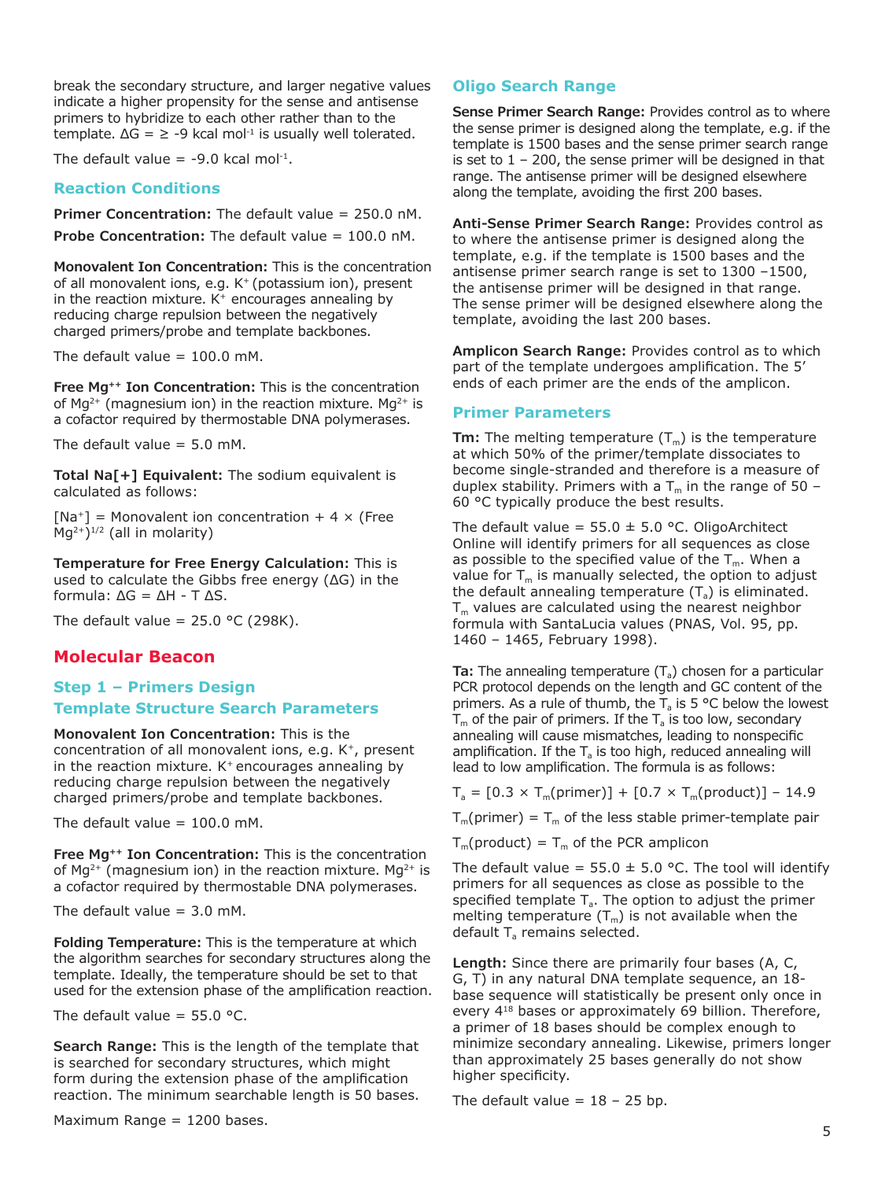break the secondary structure, and larger negative values indicate a higher propensity for the sense and antisense primers to hybridize to each other rather than to the template.  $\Delta G = \ge -9$  kcal mol<sup>-1</sup> is usually well tolerated.

The default value =  $-9.0$  kcal mol<sup>-1</sup>.

## **Reaction Conditions**

**Primer Concentration:** The default value = 250.0 nM. **Probe Concentration:** The default value = 100.0 nM.

**Monovalent Ion Concentration:** This is the concentration of all monovalent ions, e.g. K+ (potassium ion), present in the reaction mixture.  $K^+$  encourages annealing by reducing charge repulsion between the negatively charged primers/probe and template backbones.

The default value  $= 100.0$  mM.

**Free Mg++ Ion Concentration:** This is the concentration of  $Mq^{2+}$  (magnesium ion) in the reaction mixture. Mq<sup>2+</sup> is a cofactor required by thermostable DNA polymerases.

The default value  $= 5.0$  mM.

**Total Na[+] Equivalent:** The sodium equivalent is calculated as follows:

 $[Na^+]$  = Monovalent ion concentration + 4  $\times$  (Free  $Mg^{2+}$ <sup>1/2</sup> (all in molarity)

**Temperature for Free Energy Calculation:** This is used to calculate the Gibbs free energy (ΔG) in the formula: ΔG = ΔH - T ΔS.

The default value =  $25.0$  °C (298K).

# **Molecular Beacon**

# **Step 1 – Primers Design Template Structure Search Parameters**

**Monovalent Ion Concentration:** This is the

concentration of all monovalent ions, e.g.  $K^+$ , present in the reaction mixture.  $K^+$  encourages annealing by reducing charge repulsion between the negatively charged primers/probe and template backbones.

The default value  $= 100.0$  mM.

**Free Mg++ Ion Concentration:** This is the concentration of  $Mq^{2+}$  (magnesium ion) in the reaction mixture. Mq<sup>2+</sup> is a cofactor required by thermostable DNA polymerases.

The default value =  $3.0 \text{ mM}$ .

**Folding Temperature:** This is the temperature at which the algorithm searches for secondary structures along the template. Ideally, the temperature should be set to that used for the extension phase of the amplification reaction.

The default value =  $55.0$  °C.

**Search Range:** This is the length of the template that is searched for secondary structures, which might form during the extension phase of the amplification reaction. The minimum searchable length is 50 bases.

```
Maximum Range = 1200 bases.
```
# **Oligo Search Range**

**Sense Primer Search Range:** Provides control as to where the sense primer is designed along the template, e.g. if the template is 1500 bases and the sense primer search range is set to  $1 - 200$ , the sense primer will be designed in that range. The antisense primer will be designed elsewhere along the template, avoiding the first 200 bases.

**Anti-Sense Primer Search Range:** Provides control as to where the antisense primer is designed along the template, e.g. if the template is 1500 bases and the antisense primer search range is set to 1300 –1500, the antisense primer will be designed in that range. The sense primer will be designed elsewhere along the template, avoiding the last 200 bases.

**Amplicon Search Range:** Provides control as to which part of the template undergoes amplification. The 5' ends of each primer are the ends of the amplicon.

## **Primer Parameters**

**Tm:** The melting temperature  $(T_m)$  is the temperature at which 50% of the primer/template dissociates to become single-stranded and therefore is a measure of duplex stability. Primers with a  $T_m$  in the range of 50 – 60 °C typically produce the best results.

The default value =  $55.0 \pm 5.0$  °C. OligoArchitect Online will identify primers for all sequences as close as possible to the specified value of the  $T_m$ . When a value for  $T_m$  is manually selected, the option to adjust the default annealing temperature  $(T_a)$  is eliminated.  $T_m$  values are calculated using the nearest neighbor formula with SantaLucia values (PNAS, Vol. 95, pp. 1460 – 1465, February 1998).

**Ta:** The annealing temperature  $(T_a)$  chosen for a particular PCR protocol depends on the length and GC content of the primers. As a rule of thumb, the  $T_a$  is 5 °C below the lowest  $T_m$  of the pair of primers. If the  $T_a$  is too low, secondary annealing will cause mismatches, leading to nonspecific amplification. If the  $T<sub>s</sub>$  is too high, reduced annealing will lead to low amplification. The formula is as follows:

 $T_a = [0.3 \times T_m(primer)] + [0.7 \times T_m(product)] - 14.9$ 

 $T_m(primer) = T_m$  of the less stable primer-template pair

 $T_m$ (product) =  $T_m$  of the PCR amplicon

The default value =  $55.0 \pm 5.0$  °C. The tool will identify primers for all sequences as close as possible to the specified template  $T_a$ . The option to adjust the primer melting temperature  $(T_m)$  is not available when the default  $T_a$  remains selected.

**Length:** Since there are primarily four bases (A, C, G, T) in any natural DNA template sequence, an 18 base sequence will statistically be present only once in every 418 bases or approximately 69 billion. Therefore, a primer of 18 bases should be complex enough to minimize secondary annealing. Likewise, primers longer than approximately 25 bases generally do not show higher specificity.

The default value  $= 18 - 25$  bp.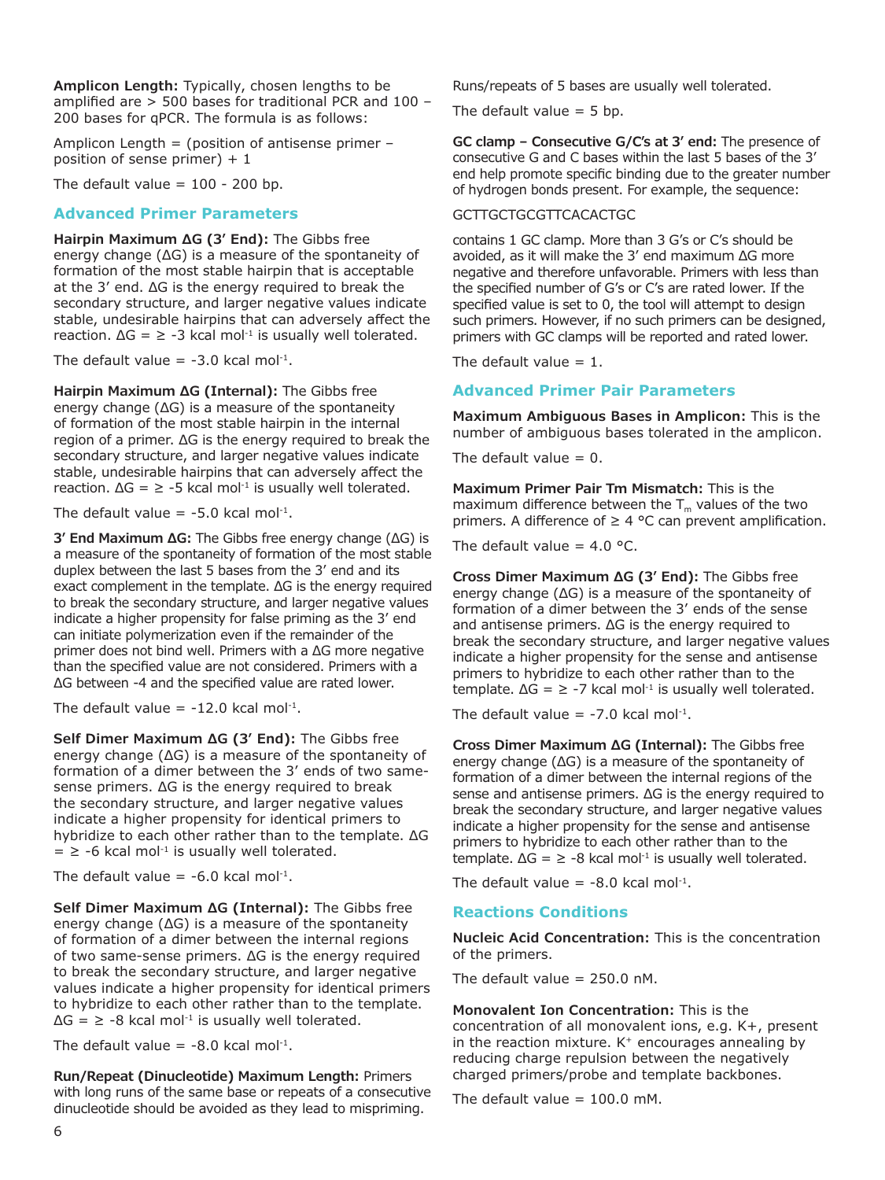**Amplicon Length:** Typically, chosen lengths to be amplified are > 500 bases for traditional PCR and 100 – 200 bases for qPCR. The formula is as follows:

Amplicon Length = (position of antisense primer  $$ position of sense primer) + 1

The default value  $= 100 - 200$  bp.

## **Advanced Primer Parameters**

**Hairpin Maximum ΔG (3' End):** The Gibbs free energy change (ΔG) is a measure of the spontaneity of formation of the most stable hairpin that is acceptable at the 3' end. ΔG is the energy required to break the secondary structure, and larger negative values indicate stable, undesirable hairpins that can adversely affect the reaction.  $\Delta G = \ge -3$  kcal mol<sup>-1</sup> is usually well tolerated.

The default value =  $-3.0$  kcal mol<sup>-1</sup>.

**Hairpin Maximum ΔG (Internal):** The Gibbs free energy change (ΔG) is a measure of the spontaneity of formation of the most stable hairpin in the internal region of a primer. ΔG is the energy required to break the secondary structure, and larger negative values indicate stable, undesirable hairpins that can adversely affect the reaction.  $\Delta G = \ge -5$  kcal mol<sup>-1</sup> is usually well tolerated.

The default value =  $-5.0$  kcal mol<sup>-1</sup>.

**3' End Maximum ΔG:** The Gibbs free energy change (ΔG) is a measure of the spontaneity of formation of the most stable duplex between the last 5 bases from the 3' end and its exact complement in the template. ΔG is the energy required to break the secondary structure, and larger negative values indicate a higher propensity for false priming as the 3' end can initiate polymerization even if the remainder of the primer does not bind well. Primers with a ΔG more negative than the specified value are not considered. Primers with a ΔG between -4 and the specified value are rated lower.

The default value =  $-12.0$  kcal mol<sup>-1</sup>.

**Self Dimer Maximum ΔG (3' End):** The Gibbs free energy change (ΔG) is a measure of the spontaneity of formation of a dimer between the 3' ends of two samesense primers. ΔG is the energy required to break the secondary structure, and larger negative values indicate a higher propensity for identical primers to hybridize to each other rather than to the template. ΔG  $=$   $\ge$  -6 kcal mol<sup>-1</sup> is usually well tolerated.

The default value =  $-6.0$  kcal mol<sup>-1</sup>.

**Self Dimer Maximum ΔG (Internal):** The Gibbs free energy change (ΔG) is a measure of the spontaneity of formation of a dimer between the internal regions of two same-sense primers. ΔG is the energy required to break the secondary structure, and larger negative values indicate a higher propensity for identical primers to hybridize to each other rather than to the template.  $\Delta G = \ge -8$  kcal mol<sup>-1</sup> is usually well tolerated.

The default value =  $-8.0$  kcal mol<sup>-1</sup>.

**Run/Repeat (Dinucleotide) Maximum Length:** Primers with long runs of the same base or repeats of a consecutive dinucleotide should be avoided as they lead to mispriming.

Runs/repeats of 5 bases are usually well tolerated.

The default value  $=$  5 bp.

**GC clamp – Consecutive G/C's at 3' end:** The presence of consecutive G and C bases within the last 5 bases of the 3' end help promote specific binding due to the greater number of hydrogen bonds present. For example, the sequence:

#### GCTTGCTGCGTTCACACTGC

contains 1 GC clamp. More than 3 G's or C's should be avoided, as it will make the 3' end maximum ΔG more negative and therefore unfavorable. Primers with less than the specified number of G's or C's are rated lower. If the specified value is set to 0, the tool will attempt to design such primers. However, if no such primers can be designed, primers with GC clamps will be reported and rated lower.

The default value  $= 1$ .

# **Advanced Primer Pair Parameters**

**Maximum Ambiguous Bases in Amplicon:** This is the number of ambiguous bases tolerated in the amplicon.

The default value  $= 0$ .

**Maximum Primer Pair Tm Mismatch:** This is the maximum difference between the  $T_m$  values of the two primers. A difference of  $\geq 4$  °C can prevent amplification.

The default value =  $4.0$  °C.

**Cross Dimer Maximum ΔG (3' End):** The Gibbs free energy change (ΔG) is a measure of the spontaneity of formation of a dimer between the 3' ends of the sense and antisense primers. ΔG is the energy required to break the secondary structure, and larger negative values indicate a higher propensity for the sense and antisense primers to hybridize to each other rather than to the template.  $\Delta G = \ge -7$  kcal mol<sup>-1</sup> is usually well tolerated.

The default value =  $-7.0$  kcal mol<sup>-1</sup>.

**Cross Dimer Maximum ΔG (Internal):** The Gibbs free energy change (ΔG) is a measure of the spontaneity of formation of a dimer between the internal regions of the sense and antisense primers. ΔG is the energy required to break the secondary structure, and larger negative values indicate a higher propensity for the sense and antisense primers to hybridize to each other rather than to the template.  $\Delta G = \ge -8$  kcal mol<sup>-1</sup> is usually well tolerated.

The default value =  $-8.0$  kcal mol<sup>-1</sup>.

#### **Reactions Conditions**

**Nucleic Acid Concentration:** This is the concentration of the primers.

The default value  $= 250.0$  nM.

**Monovalent Ion Concentration:** This is the concentration of all monovalent ions, e.g. K+, present in the reaction mixture.  $K<sup>+</sup>$  encourages annealing by reducing charge repulsion between the negatively charged primers/probe and template backbones.

The default value =  $100.0 \text{ mM}$ .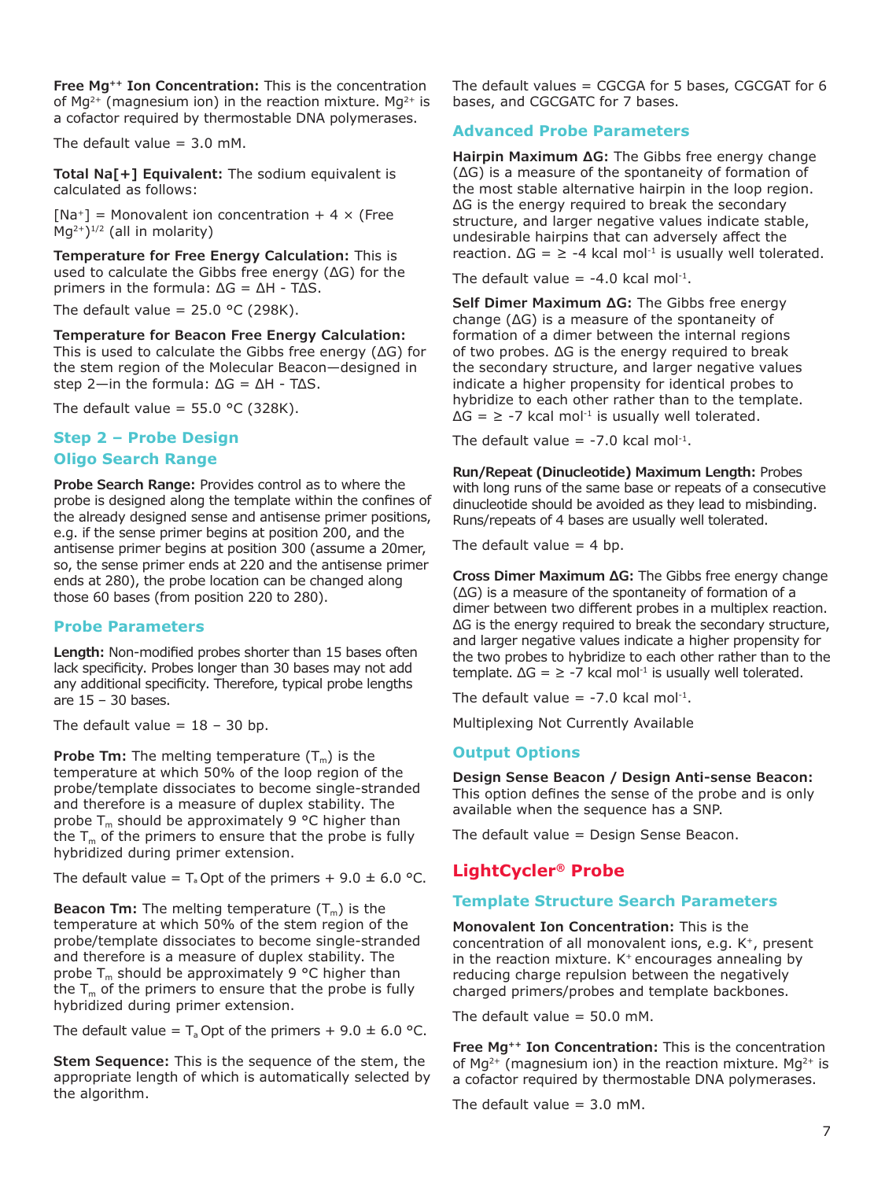**Free Mg++ Ion Concentration:** This is the concentration of Mg<sup>2+</sup> (magnesium ion) in the reaction mixture. Mg<sup>2+</sup> is a cofactor required by thermostable DNA polymerases.

The default value  $= 3.0$  mM.

**Total Na[+] Equivalent:** The sodium equivalent is calculated as follows:

 $[Na^+]$  = Monovalent ion concentration + 4  $\times$  (Free  $\overline{M}q^{2+\overline{)}}^{1/2}$  (all in molarity)

**Temperature for Free Energy Calculation:** This is used to calculate the Gibbs free energy (ΔG) for the primers in the formula: ΔG = ΔH - TΔS.

The default value =  $25.0$  °C (298K).

**Temperature for Beacon Free Energy Calculation:** This is used to calculate the Gibbs free energy (ΔG) for the stem region of the Molecular Beacon—designed in step 2—in the formula: ΔG = ΔH - TΔS.

The default value =  $55.0$  °C (328K).

# **Step 2 – Probe Design Oligo Search Range**

**Probe Search Range:** Provides control as to where the probe is designed along the template within the confines of the already designed sense and antisense primer positions, e.g. if the sense primer begins at position 200, and the antisense primer begins at position 300 (assume a 20mer, so, the sense primer ends at 220 and the antisense primer ends at 280), the probe location can be changed along those 60 bases (from position 220 to 280).

# **Probe Parameters**

**Length:** Non-modified probes shorter than 15 bases often lack specificity. Probes longer than 30 bases may not add any additional specificity. Therefore, typical probe lengths are  $15 - 30$  bases.

The default value =  $18 - 30$  bp.

**Probe Tm:** The melting temperature  $(T_m)$  is the temperature at which 50% of the loop region of the probe/template dissociates to become single-stranded and therefore is a measure of duplex stability. The probe  $T_m$  should be approximately 9 °C higher than the  $T_m$  of the primers to ensure that the probe is fully hybridized during primer extension.

The default value =  $T_a$  Opt of the primers + 9.0  $\pm$  6.0 °C.

**Beacon Tm:** The melting temperature  $(T_m)$  is the temperature at which 50% of the stem region of the probe/template dissociates to become single-stranded and therefore is a measure of duplex stability. The probe  $T_m$  should be approximately 9 °C higher than the  $T_m$  of the primers to ensure that the probe is fully hybridized during primer extension.

The default value =  $T_a$  Opt of the primers + 9.0  $\pm$  6.0 °C.

**Stem Sequence:** This is the sequence of the stem, the appropriate length of which is automatically selected by the algorithm.

The default values  $=$  CGCGA for 5 bases, CGCGAT for 6 bases, and CGCGATC for 7 bases.

## **Advanced Probe Parameters**

**Hairpin Maximum ΔG:** The Gibbs free energy change (ΔG) is a measure of the spontaneity of formation of the most stable alternative hairpin in the loop region. ΔG is the energy required to break the secondary structure, and larger negative values indicate stable, undesirable hairpins that can adversely affect the reaction.  $\Delta G = \ge -4$  kcal mol<sup>-1</sup> is usually well tolerated.

The default value =  $-4.0$  kcal mol<sup>-1</sup>.

**Self Dimer Maximum ΔG:** The Gibbs free energy change (ΔG) is a measure of the spontaneity of formation of a dimer between the internal regions of two probes. ΔG is the energy required to break the secondary structure, and larger negative values indicate a higher propensity for identical probes to hybridize to each other rather than to the template.  $\Delta G = \ge -7$  kcal mol<sup>-1</sup> is usually well tolerated.

The default value =  $-7.0$  kcal mol<sup>-1</sup>.

**Run/Repeat (Dinucleotide) Maximum Length:** Probes with long runs of the same base or repeats of a consecutive dinucleotide should be avoided as they lead to misbinding. Runs/repeats of 4 bases are usually well tolerated.

The default value  $=$  4 bp.

**Cross Dimer Maximum ΔG:** The Gibbs free energy change (ΔG) is a measure of the spontaneity of formation of a dimer between two different probes in a multiplex reaction. ΔG is the energy required to break the secondary structure, and larger negative values indicate a higher propensity for the two probes to hybridize to each other rather than to the template.  $\Delta G = \ge -7$  kcal mol<sup>-1</sup> is usually well tolerated.

The default value =  $-7.0$  kcal mol<sup>-1</sup>.

Multiplexing Not Currently Available

#### **Output Options**

**Design Sense Beacon / Design Anti-sense Beacon:** This option defines the sense of the probe and is only available when the sequence has a SNP.

The default value = Design Sense Beacon.

# **LightCycler® Probe**

# **Template Structure Search Parameters**

**Monovalent Ion Concentration:** This is the concentration of all monovalent ions, e.g. K+, present in the reaction mixture.  $K^+$  encourages annealing by reducing charge repulsion between the negatively charged primers/probes and template backbones.

The default value  $= 50.0$  mM.

**Free Mg++ Ion Concentration:** This is the concentration of Mg<sup>2+</sup> (magnesium ion) in the reaction mixture. Mg<sup>2+</sup> is a cofactor required by thermostable DNA polymerases.

The default value  $= 3.0$  mM.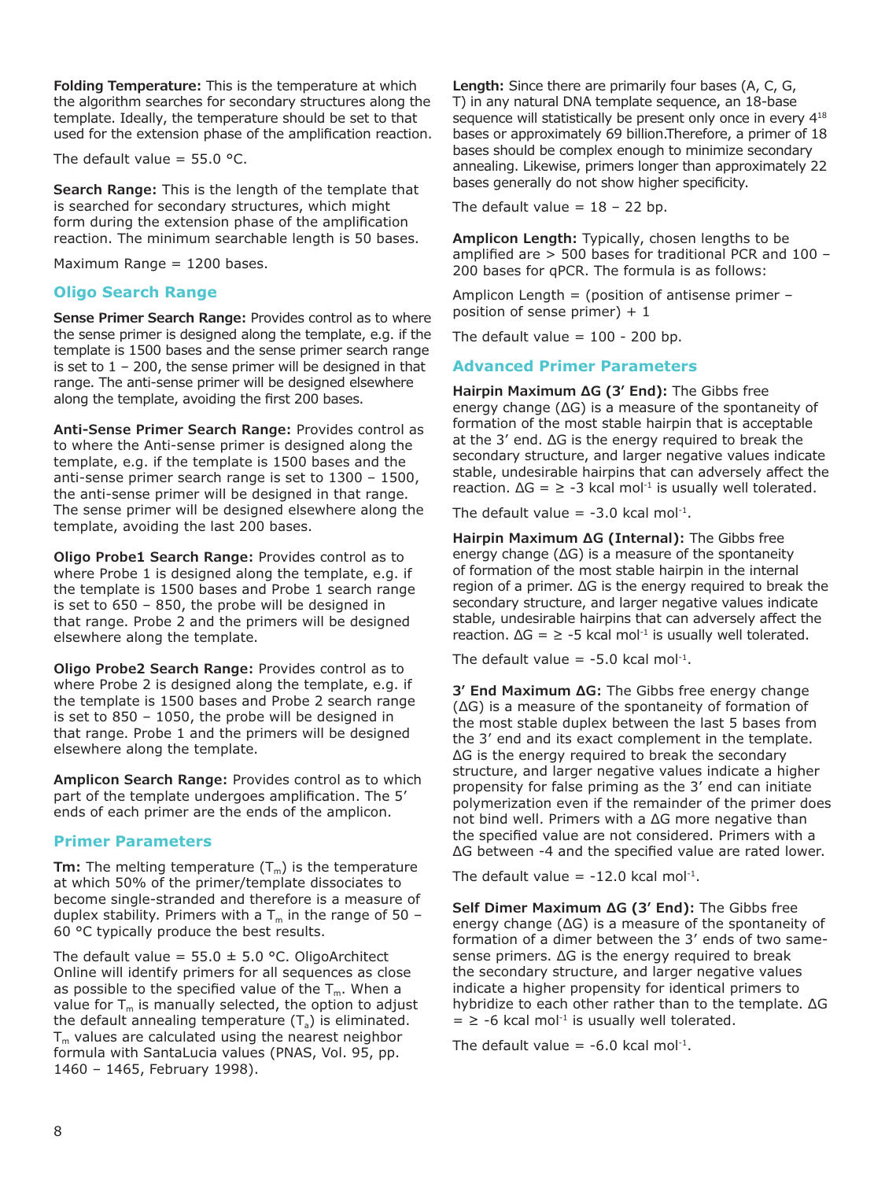**Folding Temperature:** This is the temperature at which the algorithm searches for secondary structures along the template. Ideally, the temperature should be set to that used for the extension phase of the amplification reaction.

The default value =  $55.0$  °C.

**Search Range:** This is the length of the template that is searched for secondary structures, which might form during the extension phase of the amplification reaction. The minimum searchable length is 50 bases.

Maximum Range = 1200 bases.

## **Oligo Search Range**

**Sense Primer Search Range:** Provides control as to where the sense primer is designed along the template, e.g. if the template is 1500 bases and the sense primer search range is set to  $1 - 200$ , the sense primer will be designed in that range. The anti-sense primer will be designed elsewhere along the template, avoiding the first 200 bases.

**Anti-Sense Primer Search Range:** Provides control as to where the Anti-sense primer is designed along the template, e.g. if the template is 1500 bases and the anti-sense primer search range is set to 1300 – 1500, the anti-sense primer will be designed in that range. The sense primer will be designed elsewhere along the template, avoiding the last 200 bases.

**Oligo Probe1 Search Range:** Provides control as to where Probe 1 is designed along the template, e.g. if the template is 1500 bases and Probe 1 search range is set to 650 – 850, the probe will be designed in that range. Probe 2 and the primers will be designed elsewhere along the template.

**Oligo Probe2 Search Range:** Provides control as to where Probe 2 is designed along the template, e.g. if the template is 1500 bases and Probe 2 search range is set to 850 – 1050, the probe will be designed in that range. Probe 1 and the primers will be designed elsewhere along the template.

**Amplicon Search Range:** Provides control as to which part of the template undergoes amplification. The 5' ends of each primer are the ends of the amplicon.

#### **Primer Parameters**

**Tm:** The melting temperature  $(T_m)$  is the temperature at which 50% of the primer/template dissociates to become single-stranded and therefore is a measure of duplex stability. Primers with a  $T_m$  in the range of 50 – 60 °C typically produce the best results.

The default value =  $55.0 \pm 5.0$  °C. OligoArchitect Online will identify primers for all sequences as close as possible to the specified value of the  $T_m$ . When a value for  $T_m$  is manually selected, the option to adjust the default annealing temperature  $(T_a)$  is eliminated.  $T<sub>m</sub>$  values are calculated using the nearest neighbor formula with SantaLucia values (PNAS, Vol. 95, pp. 1460 – 1465, February 1998).

**Length:** Since there are primarily four bases (A, C, G, T) in any natural DNA template sequence, an 18-base sequence will statistically be present only once in every  $4^{18}$ bases or approximately 69 billion.Therefore, a primer of 18 bases should be complex enough to minimize secondary annealing. Likewise, primers longer than approximately 22 bases generally do not show higher specificity.

The default value =  $18 - 22$  bp.

**Amplicon Length:** Typically, chosen lengths to be amplified are > 500 bases for traditional PCR and 100 – 200 bases for qPCR. The formula is as follows:

Amplicon Length = (position of antisense primer  $$ position of sense primer)  $+1$ 

The default value  $= 100 - 200$  bp.

# **Advanced Primer Parameters**

**Hairpin Maximum ΔG (3' End):** The Gibbs free energy change (ΔG) is a measure of the spontaneity of formation of the most stable hairpin that is acceptable at the 3' end. ΔG is the energy required to break the secondary structure, and larger negative values indicate stable, undesirable hairpins that can adversely affect the reaction.  $\Delta G = \ge -3$  kcal mol<sup>-1</sup> is usually well tolerated.

The default value  $= -3.0$  kcal mol<sup>-1</sup>.

**Hairpin Maximum ΔG (Internal):** The Gibbs free energy change (ΔG) is a measure of the spontaneity of formation of the most stable hairpin in the internal region of a primer. ΔG is the energy required to break the secondary structure, and larger negative values indicate stable, undesirable hairpins that can adversely affect the reaction.  $\Delta G = \ge -5$  kcal mol<sup>-1</sup> is usually well tolerated.

The default value =  $-5.0$  kcal mol<sup>-1</sup>.

**3' End Maximum ΔG:** The Gibbs free energy change (ΔG) is a measure of the spontaneity of formation of the most stable duplex between the last 5 bases from the 3' end and its exact complement in the template. ΔG is the energy required to break the secondary structure, and larger negative values indicate a higher propensity for false priming as the 3' end can initiate polymerization even if the remainder of the primer does not bind well. Primers with a ΔG more negative than the specified value are not considered. Primers with a ΔG between -4 and the specified value are rated lower.

The default value =  $-12.0$  kcal mol<sup>-1</sup>.

**Self Dimer Maximum ΔG (3' End):** The Gibbs free energy change (ΔG) is a measure of the spontaneity of formation of a dimer between the 3' ends of two samesense primers. ΔG is the energy required to break the secondary structure, and larger negative values indicate a higher propensity for identical primers to hybridize to each other rather than to the template. ΔG  $=$   $\ge$  -6 kcal mol<sup>-1</sup> is usually well tolerated.

The default value =  $-6.0$  kcal mol<sup>-1</sup>.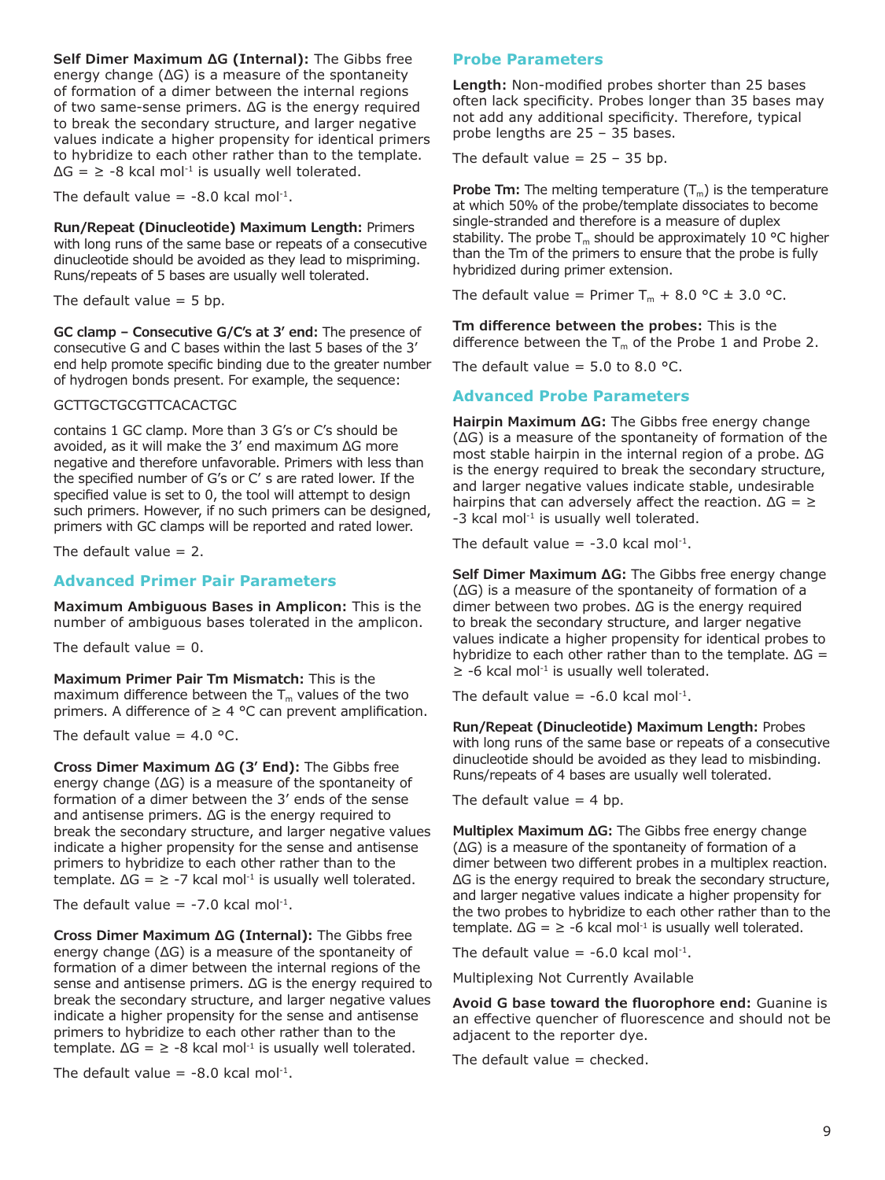**Self Dimer Maximum ΔG (Internal):** The Gibbs free energy change (ΔG) is a measure of the spontaneity of formation of a dimer between the internal regions of two same-sense primers. ΔG is the energy required to break the secondary structure, and larger negative values indicate a higher propensity for identical primers to hybridize to each other rather than to the template.  $\Delta G = \ge -8$  kcal mol<sup>-1</sup> is usually well tolerated.

The default value =  $-8.0$  kcal mol<sup>-1</sup>.

**Run/Repeat (Dinucleotide) Maximum Length:** Primers with long runs of the same base or repeats of a consecutive dinucleotide should be avoided as they lead to mispriming. Runs/repeats of 5 bases are usually well tolerated.

The default value  $=$  5 bp.

**GC clamp – Consecutive G/C's at 3' end:** The presence of consecutive G and C bases within the last 5 bases of the 3' end help promote specific binding due to the greater number of hydrogen bonds present. For example, the sequence:

#### GCTTGCTGCGTTCACACTGC

contains 1 GC clamp. More than 3 G's or C's should be avoided, as it will make the 3' end maximum ΔG more negative and therefore unfavorable. Primers with less than the specified number of G's or C' s are rated lower. If the specified value is set to 0, the tool will attempt to design such primers. However, if no such primers can be designed, primers with GC clamps will be reported and rated lower.

The default value  $= 2$ .

### **Advanced Primer Pair Parameters**

**Maximum Ambiguous Bases in Amplicon:** This is the number of ambiguous bases tolerated in the amplicon.

The default value  $= 0$ .

**Maximum Primer Pair Tm Mismatch:** This is the maximum difference between the  $T_m$  values of the two primers. A difference of  $\geq 4$  °C can prevent amplification.

The default value =  $4.0$  °C.

**Cross Dimer Maximum ΔG (3' End):** The Gibbs free energy change (ΔG) is a measure of the spontaneity of formation of a dimer between the 3' ends of the sense and antisense primers. ΔG is the energy required to break the secondary structure, and larger negative values indicate a higher propensity for the sense and antisense primers to hybridize to each other rather than to the template.  $\Delta G = \ge -7$  kcal mol<sup>-1</sup> is usually well tolerated.

The default value =  $-7.0$  kcal mol<sup>-1</sup>.

**Cross Dimer Maximum ΔG (Internal):** The Gibbs free energy change (ΔG) is a measure of the spontaneity of formation of a dimer between the internal regions of the sense and antisense primers. ΔG is the energy required to break the secondary structure, and larger negative values indicate a higher propensity for the sense and antisense primers to hybridize to each other rather than to the template.  $\Delta G = \ge -8$  kcal mol<sup>-1</sup> is usually well tolerated.

The default value =  $-8.0$  kcal mol<sup>-1</sup>.

#### **Probe Parameters**

**Length:** Non-modified probes shorter than 25 bases often lack specificity. Probes longer than 35 bases may not add any additional specificity. Therefore, typical probe lengths are 25 – 35 bases.

The default value  $= 25 - 35$  bp.

**Probe Tm:** The melting temperature  $(T_m)$  is the temperature at which 50% of the probe/template dissociates to become single-stranded and therefore is a measure of duplex stability. The probe  $T_m$  should be approximately 10 °C higher than the Tm of the primers to ensure that the probe is fully hybridized during primer extension.

The default value = Primer  $T_m + 8.0$  °C  $\pm$  3.0 °C.

**Tm difference between the probes:** This is the difference between the  $T_m$  of the Probe 1 and Probe 2.

The default value =  $5.0$  to  $8.0$  °C.

#### **Advanced Probe Parameters**

**Hairpin Maximum ΔG:** The Gibbs free energy change (ΔG) is a measure of the spontaneity of formation of the most stable hairpin in the internal region of a probe. ΔG is the energy required to break the secondary structure, and larger negative values indicate stable, undesirable hairpins that can adversely affect the reaction.  $\Delta G = \Sigma$ -3 kcal mol<sup>-1</sup> is usually well tolerated.

The default value =  $-3.0$  kcal mol<sup>-1</sup>.

**Self Dimer Maximum ΔG:** The Gibbs free energy change (ΔG) is a measure of the spontaneity of formation of a dimer between two probes. ΔG is the energy required to break the secondary structure, and larger negative values indicate a higher propensity for identical probes to hybridize to each other rather than to the template.  $\Delta G =$  $\ge$  -6 kcal mol<sup>-1</sup> is usually well tolerated.

The default value =  $-6.0$  kcal mol<sup>-1</sup>.

**Run/Repeat (Dinucleotide) Maximum Length:** Probes with long runs of the same base or repeats of a consecutive dinucleotide should be avoided as they lead to misbinding. Runs/repeats of 4 bases are usually well tolerated.

The default value  $=$  4 bp.

**Multiplex Maximum ΔG:** The Gibbs free energy change (ΔG) is a measure of the spontaneity of formation of a dimer between two different probes in a multiplex reaction. ΔG is the energy required to break the secondary structure, and larger negative values indicate a higher propensity for the two probes to hybridize to each other rather than to the template.  $\Delta G = \ge -6$  kcal mol<sup>-1</sup> is usually well tolerated.

The default value =  $-6.0$  kcal mol<sup>-1</sup>.

Multiplexing Not Currently Available

**Avoid G base toward the fluorophore end:** Guanine is an effective quencher of fluorescence and should not be adjacent to the reporter dye.

The default value  $=$  checked.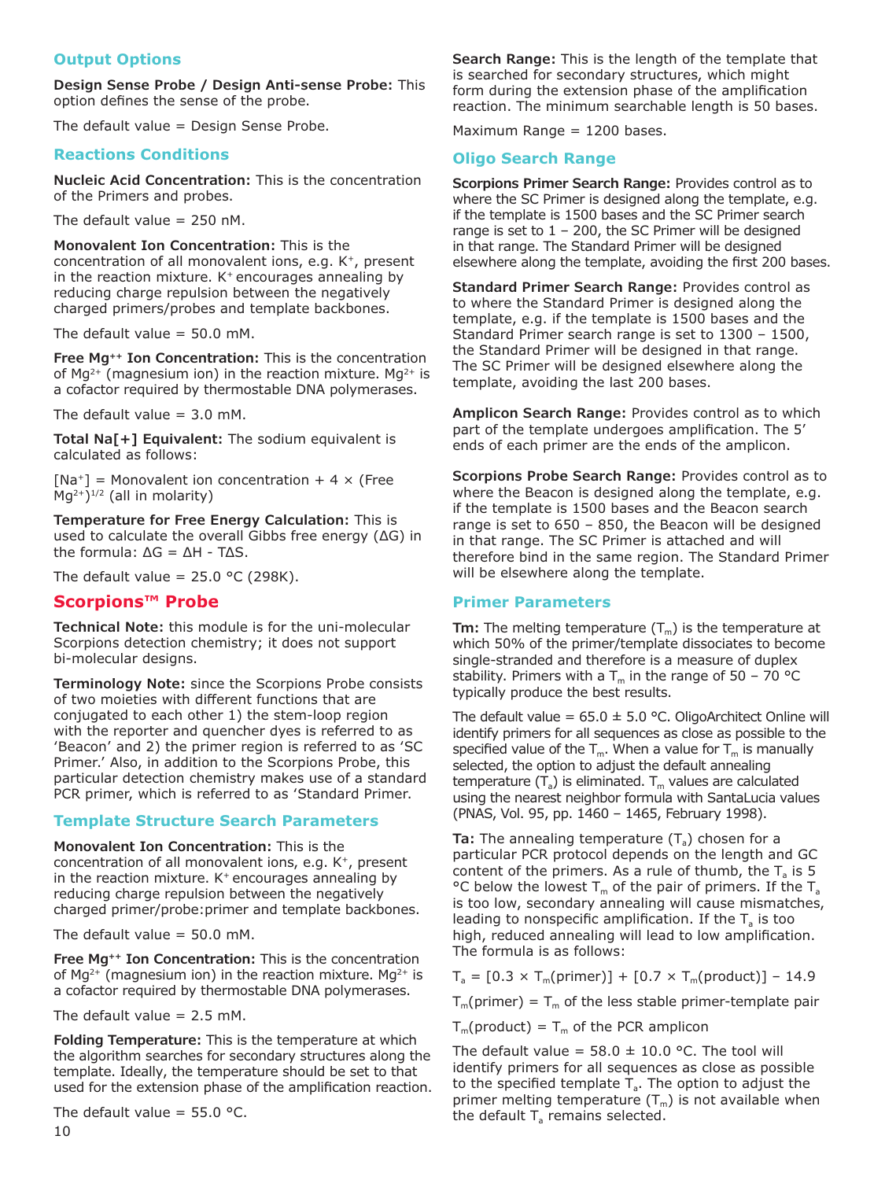## **Output Options**

**Design Sense Probe / Design Anti-sense Probe:** This option defines the sense of the probe.

The default value = Design Sense Probe.

### **Reactions Conditions**

**Nucleic Acid Concentration:** This is the concentration of the Primers and probes.

The default value  $= 250$  nM.

**Monovalent Ion Concentration:** This is the concentration of all monovalent ions, e.g. K+, present in the reaction mixture.  $K^+$  encourages annealing by reducing charge repulsion between the negatively charged primers/probes and template backbones.

The default value  $= 50.0$  mM.

**Free Mg++ Ion Concentration:** This is the concentration of  $Mq^{2+}$  (magnesium ion) in the reaction mixture. Mq<sup>2+</sup> is a cofactor required by thermostable DNA polymerases.

The default value  $= 3.0$  mM.

**Total Na[+] Equivalent:** The sodium equivalent is calculated as follows:

 $[Na^+]$  = Monovalent ion concentration + 4  $\times$  (Free  $Mq^{2+}$ )<sup>1/2</sup> (all in molarity)

**Temperature for Free Energy Calculation:** This is used to calculate the overall Gibbs free energy (ΔG) in the formula: ΔG = ΔH - TΔS.

The default value =  $25.0$  °C (298K).

# **Scorpions™ Probe**

**Technical Note:** this module is for the uni-molecular Scorpions detection chemistry; it does not support bi-molecular designs.

**Terminology Note:** since the Scorpions Probe consists of two moieties with different functions that are conjugated to each other 1) the stem-loop region with the reporter and quencher dyes is referred to as 'Beacon' and 2) the primer region is referred to as 'SC Primer.' Also, in addition to the Scorpions Probe, this particular detection chemistry makes use of a standard PCR primer, which is referred to as 'Standard Primer.

#### **Template Structure Search Parameters**

**Monovalent Ion Concentration:** This is the concentration of all monovalent ions, e.g. K<sup>+</sup>, present in the reaction mixture.  $K^+$  encourages annealing by reducing charge repulsion between the negatively charged primer/probe:primer and template backbones.

The default value  $= 50.0$  mM.

**Free Mg++ Ion Concentration:** This is the concentration of Mg<sup>2+</sup> (magnesium ion) in the reaction mixture. Mg<sup>2+</sup> is a cofactor required by thermostable DNA polymerases.

The default value  $= 2.5$  mM.

**Folding Temperature:** This is the temperature at which the algorithm searches for secondary structures along the template. Ideally, the temperature should be set to that used for the extension phase of the amplification reaction.

The default value =  $55.0$  °C.

**Search Range:** This is the length of the template that is searched for secondary structures, which might form during the extension phase of the amplification reaction. The minimum searchable length is 50 bases.

Maximum Range = 1200 bases.

# **Oligo Search Range**

**Scorpions Primer Search Range:** Provides control as to where the SC Primer is designed along the template, e.g. if the template is 1500 bases and the SC Primer search range is set to  $1 - 200$ , the SC Primer will be designed in that range. The Standard Primer will be designed elsewhere along the template, avoiding the first 200 bases.

**Standard Primer Search Range:** Provides control as to where the Standard Primer is designed along the template, e.g. if the template is 1500 bases and the Standard Primer search range is set to 1300 – 1500, the Standard Primer will be designed in that range. The SC Primer will be designed elsewhere along the template, avoiding the last 200 bases.

**Amplicon Search Range:** Provides control as to which part of the template undergoes amplification. The 5' ends of each primer are the ends of the amplicon.

**Scorpions Probe Search Range:** Provides control as to where the Beacon is designed along the template, e.g. if the template is 1500 bases and the Beacon search range is set to 650 – 850, the Beacon will be designed in that range. The SC Primer is attached and will therefore bind in the same region. The Standard Primer will be elsewhere along the template.

#### **Primer Parameters**

**Tm:** The melting temperature  $(T_m)$  is the temperature at which 50% of the primer/template dissociates to become single-stranded and therefore is a measure of duplex stability. Primers with a  $T_m$  in the range of 50 – 70 °C typically produce the best results.

The default value =  $65.0 \pm 5.0$  °C. OligoArchitect Online will identify primers for all sequences as close as possible to the specified value of the  $T_m$ . When a value for  $T_m$  is manually selected, the option to adjust the default annealing temperature  $(T_a)$  is eliminated.  $T_m$  values are calculated using the nearest neighbor formula with SantaLucia values (PNAS, Vol. 95, pp. 1460 – 1465, February 1998).

**Ta:** The annealing temperature  $(T_a)$  chosen for a particular PCR protocol depends on the length and GC content of the primers. As a rule of thumb, the  $T_a$  is 5 °C below the lowest  $T_m$  of the pair of primers. If the  $T_a$ is too low, secondary annealing will cause mismatches, leading to nonspecific amplification. If the  $T_a$  is too high, reduced annealing will lead to low amplification. The formula is as follows:

 $T_a = [0.3 \times T_m(primer)] + [0.7 \times T_m(product)] - 14.9$ 

 $T_m$ (primer) =  $T_m$  of the less stable primer-template pair

 $T_m$ (product) =  $T_m$  of the PCR amplicon

The default value =  $58.0 \pm 10.0$  °C. The tool will identify primers for all sequences as close as possible to the specified template  $T_a$ . The option to adjust the primer melting temperature  $(T_m)$  is not available when the default  $T<sub>a</sub>$  remains selected.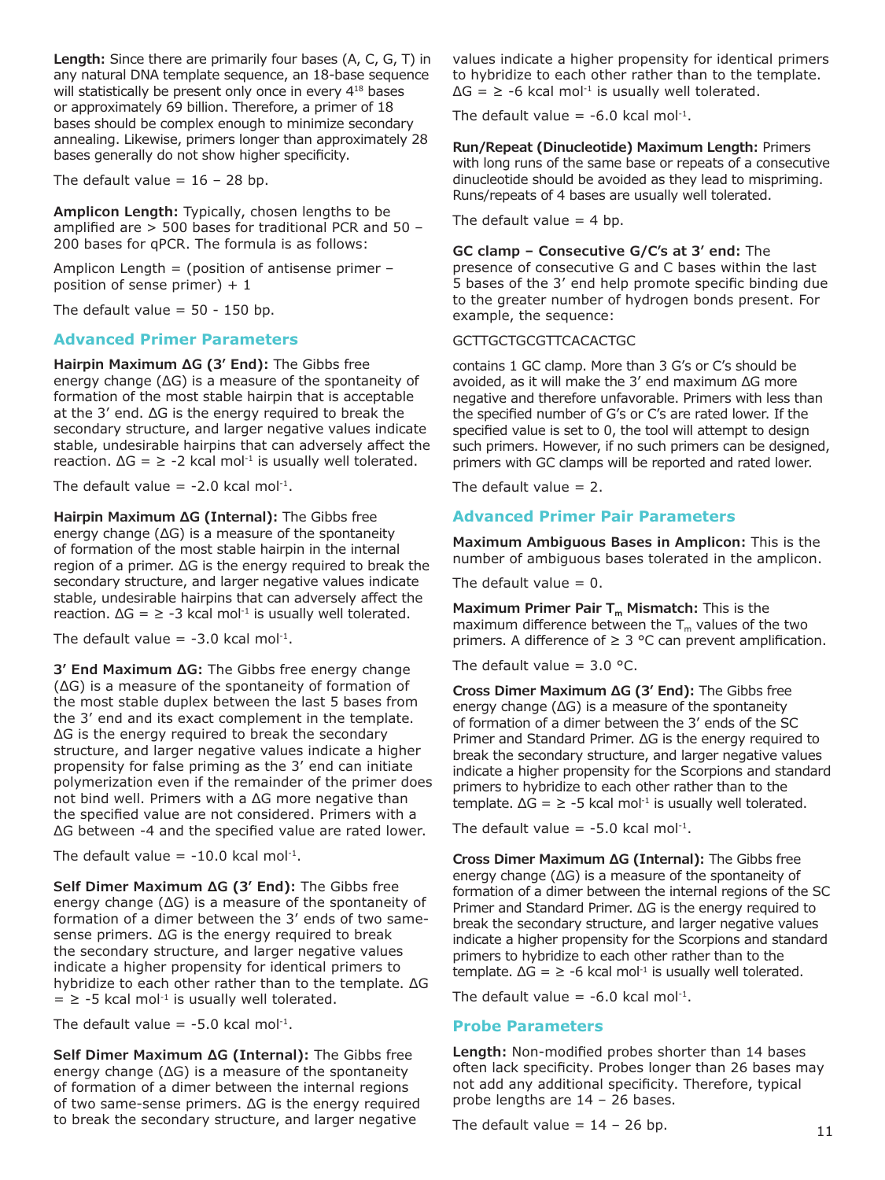**Length:** Since there are primarily four bases (A, C, G, T) in any natural DNA template sequence, an 18-base sequence will statistically be present only once in every 4<sup>18</sup> bases or approximately 69 billion. Therefore, a primer of 18 bases should be complex enough to minimize secondary annealing. Likewise, primers longer than approximately 28 bases generally do not show higher specificity.

The default value =  $16 - 28$  bp.

**Amplicon Length:** Typically, chosen lengths to be amplified are > 500 bases for traditional PCR and 50 – 200 bases for qPCR. The formula is as follows:

Amplicon Length = (position of antisense primer – position of sense primer)  $+1$ 

The default value  $= 50 - 150$  bp.

#### **Advanced Primer Parameters**

**Hairpin Maximum ΔG (3' End):** The Gibbs free energy change (ΔG) is a measure of the spontaneity of formation of the most stable hairpin that is acceptable at the 3' end. ΔG is the energy required to break the secondary structure, and larger negative values indicate stable, undesirable hairpins that can adversely affect the reaction.  $\Delta G = \ge -2$  kcal mol<sup>-1</sup> is usually well tolerated.

The default value =  $-2.0$  kcal mol<sup>-1</sup>.

**Hairpin Maximum ΔG (Internal):** The Gibbs free energy change (ΔG) is a measure of the spontaneity of formation of the most stable hairpin in the internal region of a primer. ΔG is the energy required to break the secondary structure, and larger negative values indicate stable, undesirable hairpins that can adversely affect the reaction.  $\Delta G = \ge -3$  kcal mol<sup>-1</sup> is usually well tolerated.

The default value =  $-3.0$  kcal mol<sup>-1</sup>.

**3' End Maximum ΔG:** The Gibbs free energy change (ΔG) is a measure of the spontaneity of formation of the most stable duplex between the last 5 bases from the 3' end and its exact complement in the template. ΔG is the energy required to break the secondary structure, and larger negative values indicate a higher propensity for false priming as the 3' end can initiate polymerization even if the remainder of the primer does not bind well. Primers with a ΔG more negative than the specified value are not considered. Primers with a ΔG between -4 and the specified value are rated lower.

The default value =  $-10.0$  kcal mol<sup>-1</sup>.

**Self Dimer Maximum ΔG (3' End):** The Gibbs free energy change (ΔG) is a measure of the spontaneity of formation of a dimer between the 3' ends of two samesense primers. ΔG is the energy required to break the secondary structure, and larger negative values indicate a higher propensity for identical primers to hybridize to each other rather than to the template. ΔG  $=$   $\ge$  -5 kcal mol<sup>-1</sup> is usually well tolerated.

The default value =  $-5.0$  kcal mol<sup>-1</sup>.

**Self Dimer Maximum ΔG (Internal):** The Gibbs free energy change (ΔG) is a measure of the spontaneity of formation of a dimer between the internal regions of two same-sense primers. ΔG is the energy required to break the secondary structure, and larger negative

values indicate a higher propensity for identical primers to hybridize to each other rather than to the template.  $\Delta G = \ge -6$  kcal mol<sup>-1</sup> is usually well tolerated.

The default value =  $-6.0$  kcal mol<sup>-1</sup>.

**Run/Repeat (Dinucleotide) Maximum Length:** Primers with long runs of the same base or repeats of a consecutive dinucleotide should be avoided as they lead to mispriming. Runs/repeats of 4 bases are usually well tolerated.

The default value  $= 4$  bp.

**GC clamp – Consecutive G/C's at 3' end:** The presence of consecutive G and C bases within the last 5 bases of the 3' end help promote specific binding due to the greater number of hydrogen bonds present. For example, the sequence:

#### GCTTGCTGCGTTCACACTGC

contains 1 GC clamp. More than 3 G's or C's should be avoided, as it will make the 3' end maximum ΔG more negative and therefore unfavorable. Primers with less than the specified number of G's or C's are rated lower. If the specified value is set to 0, the tool will attempt to design such primers. However, if no such primers can be designed, primers with GC clamps will be reported and rated lower.

The default value  $= 2$ .

### **Advanced Primer Pair Parameters**

**Maximum Ambiguous Bases in Amplicon:** This is the number of ambiguous bases tolerated in the amplicon.

The default value  $= 0$ .

Maximum Primer Pair T<sub>m</sub> Mismatch: This is the maximum difference between the  $T_m$  values of the two primers. A difference of  $\geq$  3 °C can prevent amplification.

The default value =  $3.0$  °C.

**Cross Dimer Maximum ΔG (3' End):** The Gibbs free energy change (ΔG) is a measure of the spontaneity of formation of a dimer between the 3' ends of the SC Primer and Standard Primer. ΔG is the energy required to break the secondary structure, and larger negative values indicate a higher propensity for the Scorpions and standard primers to hybridize to each other rather than to the template.  $\Delta G = \ge -5$  kcal mol<sup>-1</sup> is usually well tolerated.

The default value =  $-5.0$  kcal mol<sup>-1</sup>.

**Cross Dimer Maximum ΔG (Internal):** The Gibbs free energy change (ΔG) is a measure of the spontaneity of formation of a dimer between the internal regions of the SC Primer and Standard Primer. ΔG is the energy required to break the secondary structure, and larger negative values indicate a higher propensity for the Scorpions and standard primers to hybridize to each other rather than to the template.  $\Delta G = \ge -6$  kcal mol<sup>-1</sup> is usually well tolerated.

The default value  $= -6.0$  kcal mol<sup>-1</sup>.

#### **Probe Parameters**

**Length:** Non-modified probes shorter than 14 bases often lack specificity. Probes longer than 26 bases may not add any additional specificity. Therefore, typical probe lengths are 14 – 26 bases.

The default value =  $14 - 26$  bp.